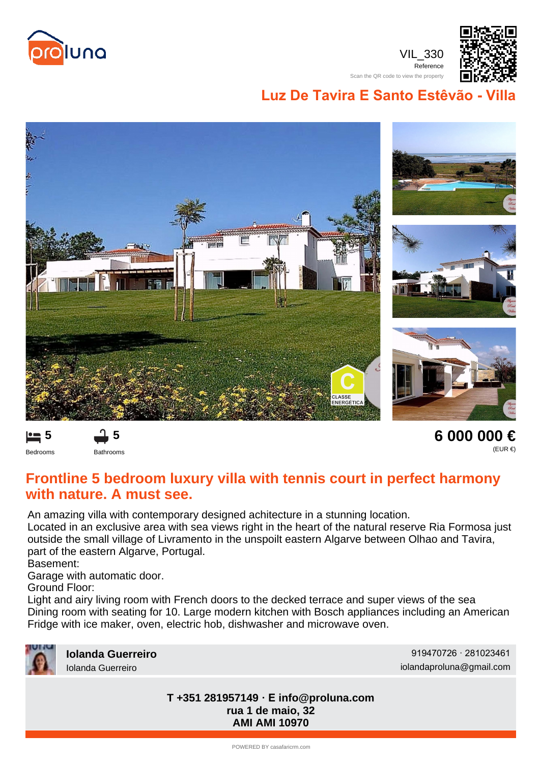

VIL\_330 Reference Scan the QR code to view the property



**Luz De Tavira E Santo Estêvão - V** 





**6 000 000 €** (EUR €)

## **Frontline 5 bedroom luxury villa with tennis court in perfect harmony with nature. A must see.**

An amazing villa with contemporary designed achitecture in a stunning location.

Located in an exclusive area with sea views right in the heart of the natural reserve Ria Formosa just outside the small village of Livramento in the unspoilt eastern Algarve between Olhao and Tavira, part of the eastern Algarve, Portugal.

Basement:

Garage with automatic door.

**5**

Ground Floor:

Light and airy living room with French doors to the decked terrace and super views of the sea Dining room with seating for 10. Large modern kitchen with Bosch appliances including an American Fridge with ice maker, oven, electric hob, dishwasher and microwave oven.



**Iolanda Guerreiro** 919470726 · 281023461 Iolanda Guerreiro iolandaproluna@gmail.com

> **rua 1 de maio, 32 AMI AMI 10970 T +351 281957149 · E info@proluna.com**